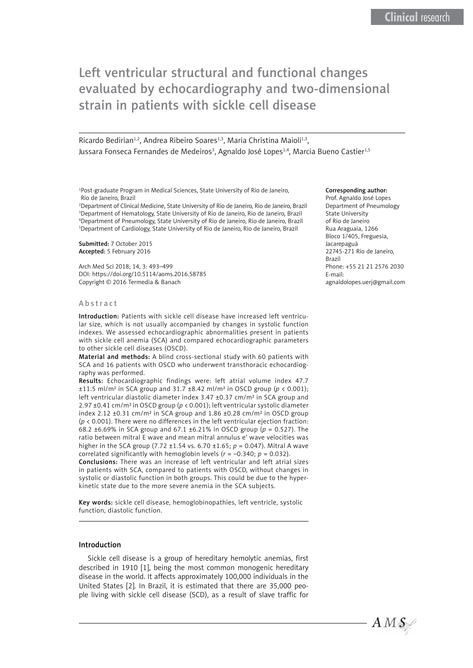# Left ventricular structural and functional changes evaluated by echocardiography and two-dimensional strain in patients with sickle cell disease

Ricardo Bedirian<sup>1,2</sup>, Andrea Ribeiro Soares<sup>1,3</sup>, Maria Christina Maioli<sup>1,3</sup>, Jussara Fonseca Fernandes de Medeiros<sup>3</sup>, Agnaldo José Lopes<sup>1,4</sup>, Marcia Bueno Castier<sup>1,5</sup>

1 Post-graduate Program in Medical Sciences, State University of Rio de Janeiro, Rio de Janeiro, Brazil

 Department of Clinical Medicine, State University of Rio de Janeiro, Rio de Janeiro, Brazil Department of Hematology, State University of Rio de Janeiro, Rio de Janeiro, Brazil Department of Pneumology, State University of Rio de Janeiro, Rio de Janeiro, Brazil Department of Cardiology, State University of Rio de Janeiro, Rio de Janeiro, Brazil

Submitted: 7 October 2015 Accepted: 5 February 2016

Arch Med Sci 2018; 14, 3: 493–499 DOI: https://doi.org/10.5114/aoms.2016.58785 Copyright © 2016 Termedia & Banach

#### Abstract

Introduction: Patients with sickle cell disease have increased left ventricular size, which is not usually accompanied by changes in systolic function indexes. We assessed echocardiographic abnormalities present in patients with sickle cell anemia (SCA) and compared echocardiographic parameters to other sickle cell diseases (OSCD).

Material and methods: A blind cross-sectional study with 60 patients with SCA and 16 patients with OSCD who underwent transthoracic echocardiography was performed.

Results: Echocardiographic findings were: left atrial volume index 47.7  $\pm$ 11.5 ml/m<sup>2</sup> in SCA group and 31.7  $\pm$ 8.42 ml/m<sup>2</sup> in OSCD group ( $p < 0.001$ ); left ventricular diastolic diameter index 3.47 ±0.37 cm/m² in SCA group and 2.97 ±0.41 cm/m² in OSCD group (*p* < 0.001); left ventricular systolic diameter index 2.12  $\pm$ 0.31 cm/m<sup>2</sup> in SCA group and 1.86  $\pm$ 0.28 cm/m<sup>2</sup> in OSCD group (*p* < 0.001). There were no differences in the left ventricular ejection fraction: 68.2 ±6.69% in SCA group and 67.1 ±6.21% in OSCD group (*p* = 0.527). The ratio between mitral E wave and mean mitral annulus e' wave velocities was higher in the SCA group (7.72 ±1.54 vs. 6.70 ±1.65; *p* = 0.047). Mitral A wave correlated significantly with hemoglobin levels ( $r = -0.340$ ;  $p = 0.032$ ).

Conclusions: There was an increase of left ventricular and left atrial sizes in patients with SCA, compared to patients with OSCD, without changes in systolic or diastolic function in both groups. This could be due to the hyperkinetic state due to the more severe anemia in the SCA subjects.

Key words: sickle cell disease, hemoglobinopathies, left ventricle, systolic function, diastolic function.

#### Introduction

Sickle cell disease is a group of hereditary hemolytic anemias, first described in 1910 [1], being the most common monogenic hereditary disease in the world. It affects approximately 100,000 individuals in the United States [2]. In Brazil, it is estimated that there are 35,000 people living with sickle cell disease (SCD), as a result of slave traffic for

#### Corresponding author:

Prof. Agnaldo José Lopes Department of Pneumology State University of Rio de Janeiro Rua Araguaia, 1266 Bloco 1/405, Freguesia, Jacarepaguá 22745-271 Rio de Janeiro, Brazil Phone: +55 21 21 2576 2030 E-mail: agnaldolopes.uerj@gmail.com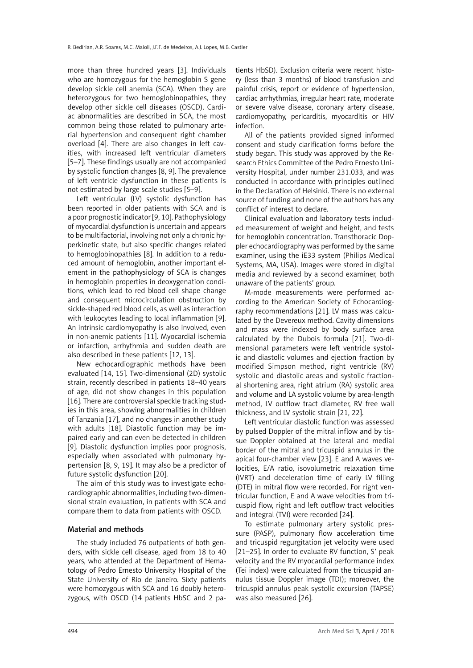more than three hundred years [3]. Individuals who are homozygous for the hemoglobin S gene develop sickle cell anemia (SCA). When they are heterozygous for two hemoglobinopathies, they develop other sickle cell diseases (OSCD). Cardiac abnormalities are described in SCA, the most common being those related to pulmonary arterial hypertension and consequent right chamber overload [4]. There are also changes in left cavities, with increased left ventricular diameters [5–7]. These findings usually are not accompanied by systolic function changes [8, 9]. The prevalence of left ventricle dysfunction in these patients is not estimated by large scale studies [5–9].

Left ventricular (LV) systolic dysfunction has been reported in older patients with SCA and is a poor prognostic indicator [9, 10]. Pathophysiology of myocardial dysfunction is uncertain and appears to be multifactorial, involving not only a chronic hyperkinetic state, but also specific changes related to hemoglobinopathies [8]. In addition to a reduced amount of hemoglobin, another important element in the pathophysiology of SCA is changes in hemoglobin properties in deoxygenation conditions, which lead to red blood cell shape change and consequent microcirculation obstruction by sickle-shaped red blood cells, as well as interaction with leukocytes leading to local inflammation [9]. An intrinsic cardiomyopathy is also involved, even in non-anemic patients [11]. Myocardial ischemia or infarction, arrhythmia and sudden death are also described in these patients [12, 13].

New echocardiographic methods have been evaluated [14, 15]. Two-dimensional (2D) systolic strain, recently described in patients 18–40 years of age, did not show changes in this population [16]. There are controversial speckle tracking studies in this area, showing abnormalities in children of Tanzania [17], and no changes in another study with adults [18]. Diastolic function may be impaired early and can even be detected in children [9]. Diastolic dysfunction implies poor prognosis, especially when associated with pulmonary hypertension [8, 9, 19]. It may also be a predictor of future systolic dysfunction [20].

The aim of this study was to investigate echocardiographic abnormalities, including two-dimensional strain evaluation, in patients with SCA and compare them to data from patients with OSCD.

#### Material and methods

The study included 76 outpatients of both genders, with sickle cell disease, aged from 18 to 40 years, who attended at the Department of Hematology of Pedro Ernesto University Hospital of the State University of Rio de Janeiro. Sixty patients were homozygous with SCA and 16 doubly heterozygous, with OSCD (14 patients HbSC and 2 patients HbSD). Exclusion criteria were recent history (less than 3 months) of blood transfusion and painful crisis, report or evidence of hypertension, cardiac arrhythmias, irregular heart rate, moderate or severe valve disease, coronary artery disease, cardiomyopathy, pericarditis, myocarditis or HIV infection.

All of the patients provided signed informed consent and study clarification forms before the study began. This study was approved by the Research Ethics Committee of the Pedro Ernesto University Hospital, under number 231.033, and was conducted in accordance with principles outlined in the Declaration of Helsinki. There is no external source of funding and none of the authors has any conflict of interest to declare.

Clinical evaluation and laboratory tests included measurement of weight and height, and tests for hemoglobin concentration. Transthoracic Doppler echocardiography was performed by the same examiner, using the iE33 system (Philips Medical Systems, MA, USA). Images were stored in digital media and reviewed by a second examiner, both unaware of the patients' group.

M-mode measurements were performed according to the American Society of Echocardiography recommendations [21]. LV mass was calculated by the Devereux method. Cavity dimensions and mass were indexed by body surface area calculated by the Dubois formula [21]. Two-dimensional parameters were left ventricle systolic and diastolic volumes and ejection fraction by modified Simpson method, right ventricle (RV) systolic and diastolic areas and systolic fractional shortening area, right atrium (RA) systolic area and volume and LA systolic volume by area-length method, LV outflow tract diameter, RV free wall thickness, and LV systolic strain [21, 22].

Left ventricular diastolic function was assessed by pulsed Doppler of the mitral inflow and by tissue Doppler obtained at the lateral and medial border of the mitral and tricuspid annulus in the apical four-chamber view [23]. E and A waves velocities, E/A ratio, isovolumetric relaxation time (IVRT) and deceleration time of early LV filling (DTE) in mitral flow were recorded. For right ventricular function, E and A wave velocities from tricuspid flow, right and left outflow tract velocities and integral (TVI) were recorded [24].

To estimate pulmonary artery systolic pressure (PASP), pulmonary flow acceleration time and tricuspid regurgitation jet velocity were used [21–25]. In order to evaluate RV function, S' peak velocity and the RV myocardial performance index (Tei index) were calculated from the tricuspid annulus tissue Doppler image (TDI); moreover, the tricuspid annulus peak systolic excursion (TAPSE) was also measured [26].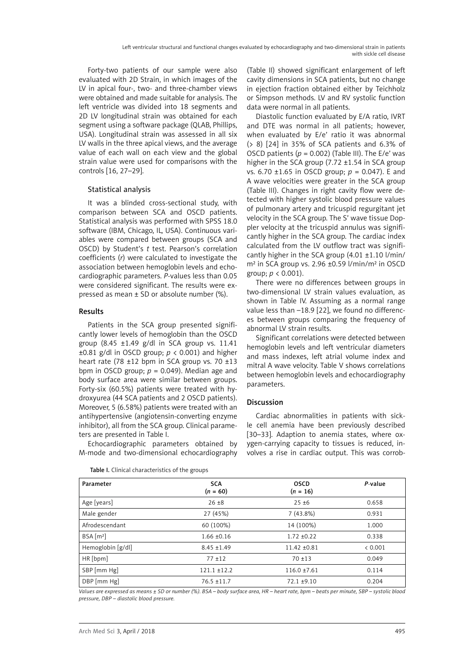Forty-two patients of our sample were also evaluated with 2D Strain, in which images of the LV in apical four-, two- and three-chamber views were obtained and made suitable for analysis. The left ventricle was divided into 18 segments and 2D LV longitudinal strain was obtained for each segment using a software package (QLAB, Phillips, USA). Longitudinal strain was assessed in all six LV walls in the three apical views, and the average value of each wall on each view and the global strain value were used for comparisons with the controls [16, 27–29].

## Statistical analysis

It was a blinded cross-sectional study, with comparison between SCA and OSCD patients. Statistical analysis was performed with SPSS 18.0 software (IBM, Chicago, IL, USA). Continuous variables were compared between groups (SCA and OSCD) by Student's *t* test. Pearson's correlation coefficients (*r*) were calculated to investigate the association between hemoglobin levels and echocardiographic parameters. *P-*values less than 0.05 were considered significant. The results were expressed as mean ± SD or absolute number (%).

## Results

Patients in the SCA group presented significantly lower levels of hemoglobin than the OSCD group (8.45 ±1.49 g/dl in SCA group vs. 11.41  $\pm 0.81$  g/dl in OSCD group;  $p < 0.001$ ) and higher heart rate (78  $\pm$ 12 bpm in SCA group vs. 70  $\pm$ 13 bpm in OSCD group;  $p = 0.049$ ). Median age and body surface area were similar between groups. Forty-six (60.5%) patients were treated with hydroxyurea (44 SCA patients and 2 OSCD patients). Moreover, 5 (6.58%) patients were treated with an antihypertensive (angiotensin-converting enzyme inhibitor), all from the SCA group. Clinical parameters are presented in Table I.

Echocardiographic parameters obtained by M-mode and two-dimensional echocardiography

(Table II) showed significant enlargement of left cavity dimensions in SCA patients, but no change in ejection fraction obtained either by Teichholz or Simpson methods. LV and RV systolic function data were normal in all patients.

Diastolic function evaluated by E/A ratio, IVRT and DTE was normal in all patients; however, when evaluated by E/e' ratio it was abnormal (> 8) [24] in 35% of SCA patients and 6.3% of OSCD patients ( $p = 0.002$ ) (Table III). The E/e' was higher in the SCA group (7.72 ±1.54 in SCA group vs. 6.70 ±1.65 in OSCD group; *p* = 0.047). E and A wave velocities were greater in the SCA group (Table III). Changes in right cavity flow were detected with higher systolic blood pressure values of pulmonary artery and tricuspid regurgitant jet velocity in the SCA group. The S' wave tissue Doppler velocity at the tricuspid annulus was significantly higher in the SCA group. The cardiac index calculated from the LV outflow tract was significantly higher in the SCA group (4.01 ±1.10 l/min/ m² in SCA group vs. 2.96 ±0.59 l/min/m² in OSCD group; *p* < 0.001).

There were no differences between groups in two-dimensional LV strain values evaluation, as shown in Table IV. Assuming as a normal range value less than –18.9 [22], we found no differences between groups comparing the frequency of abnormal LV strain results.

Significant correlations were detected between hemoglobin levels and left ventricular diameters and mass indexes, left atrial volume index and mitral A wave velocity. Table V shows correlations between hemoglobin levels and echocardiography parameters.

## Discussion

Cardiac abnormalities in patients with sickle cell anemia have been previously described [30–33]. Adaption to anemia states, where oxygen-carrying capacity to tissues is reduced, involves a rise in cardiac output. This was corrob-

| Parameter             | <b>SCA</b><br>$(n = 60)$ | <b>OSCD</b><br>$(n = 16)$ | P-value |
|-----------------------|--------------------------|---------------------------|---------|
| Age [years]           | $26 + 8$                 | $25 + 6$                  | 0.658   |
| Male gender           | 27 (45%)                 | 7(43.8%)                  | 0.931   |
| Afrodescendant        | 60 (100%)                | 14 (100%)                 | 1.000   |
| BSA [m <sup>2</sup> ] | $1.66 \pm 0.16$          | $1.72 \pm 0.22$           | 0.338   |
| Hemoglobin [g/dl]     | $8.45 \pm 1.49$          | $11.42 \pm 0.81$          | & 0.001 |
| HR[bpm]               | $77 + 12$                | $70 + 13$                 | 0.049   |
| SBP [mm Hg]           | $121.1 \pm 12.2$         | $116.0 \pm 7.61$          | 0.114   |
| DBP [mm Hg]           | $76.5 \pm 11.7$          | $72.1 \pm 9.10$           | 0.204   |

*Values are expressed as means ± SD or number (%). BSA – body surface area, HR – heart rate, bpm – beats per minute, SBP – systolic blood pressure, DBP – diastolic blood pressure.*

Table I. Clinical characteristics of the groups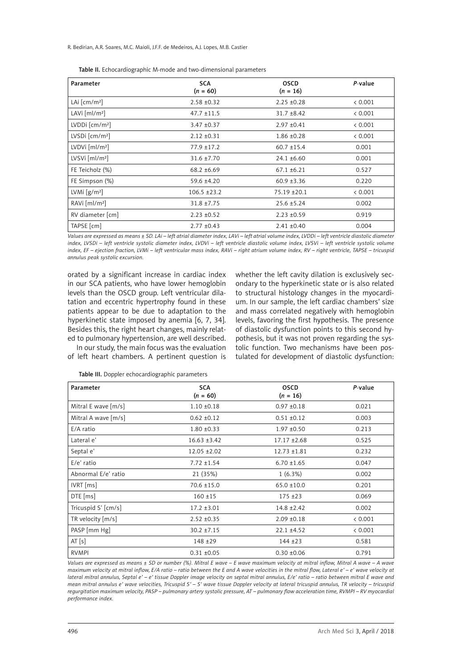R. Bedirian, A.R. Soares, M.C. Maioli, J.F.F. de Medeiros, A.J. Lopes, M.B. Castier

| Parameter                               | <b>SCA</b><br>$(n = 60)$ | <b>OSCD</b><br>$(n = 16)$ | $P$ -value |
|-----------------------------------------|--------------------------|---------------------------|------------|
| LAi $\lceil$ cm/m <sup>2</sup> $\rceil$ | $2.58 + 0.32$            | $2.25 \pm 0.28$           | < 0.001    |
| LAVi $[ml/m^2]$                         | $47.7 \pm 11.5$          | $31.7 + 8.42$             | < 0.001    |
| LVDDi [cm/m <sup>2</sup> ]              | $3.47 + 0.37$            | $2.97 + 0.41$             | < 0.001    |
| $LVSDi$ [cm/m <sup>2</sup> ]            | $2.12 \pm 0.31$          | $1.86 \pm 0.28$           | < 0.001    |
| LVDVi $\left[\frac{m}{m^2}\right]$      | $77.9 + 17.2$            | $60.7 + 15.4$             | 0.001      |
| $LVSVi$ [ml/m <sup>2</sup> ]            | $31.6 \pm 7.70$          | $24.1 \pm 6.60$           | 0.001      |
| FE Teicholz (%)                         | $68.2 \pm 6.69$          | $67.1 \pm 6.21$           | 0.527      |
| FE Simpson (%)                          | 59.6 ±4.20               | $60.9 + 3.36$             | 0.220      |
| LVMi $[g/m^2]$                          | $106.5 \pm 23.2$         | $75.19 \pm 20.1$          | < 0.001    |
| $RAVi$ [ml/m <sup>2</sup> ]             | $31.8 \pm 7.75$          | $25.6 \pm 5.24$           | 0.002      |
| RV diameter [cm]                        | $2.23 + 0.52$            | $2.23 + 0.59$             | 0.919      |
| TAPSE [cm]                              | $2.77 + 0.43$            | $2.41 \pm 0.40$           | 0.004      |

*Values are expressed as means ± SD. LAi – left atrial diameter index, LAVi – left atrial volume index, LVDDi – left ventricle diastolic diameter index, LVSDi – left ventricle systolic diameter index, LVDVi – left ventricle diastolic volume index, LVSVi – left ventricle systolic volume index, EF – ejection fraction, LVMi – left ventricular mass index, RAVi – right atrium volume index, RV – right ventricle, TAPSE – tricuspid annulus peak systolic excursion.*

orated by a significant increase in cardiac index in our SCA patients, who have lower hemoglobin levels than the OSCD group. Left ventricular dilatation and eccentric hypertrophy found in these patients appear to be due to adaptation to the hyperkinetic state imposed by anemia [6, 7, 34]. Besides this, the right heart changes, mainly related to pulmonary hypertension, are well described.

In our study, the main focus was the evaluation of left heart chambers. A pertinent question is whether the left cavity dilation is exclusively secondary to the hyperkinetic state or is also related to structural histology changes in the myocardium. In our sample, the left cardiac chambers' size and mass correlated negatively with hemoglobin levels, favoring the first hypothesis. The presence of diastolic dysfunction points to this second hypothesis, but it was not proven regarding the systolic function. Two mechanisms have been postulated for development of diastolic dysfunction:

Table III. Doppler echocardiographic parameters

| Parameter           | <b>SCA</b><br>$(n = 60)$ | <b>OSCD</b><br>$(n = 16)$ | P-value |
|---------------------|--------------------------|---------------------------|---------|
| Mitral E wave [m/s] | $1.10 \pm 0.18$          | $0.97 + 0.18$             | 0.021   |
| Mitral A wave [m/s] | $0.62 \pm 0.12$          | $0.51 \pm 0.12$           | 0.003   |
| E/A ratio           | $1.80 + 0.33$            | $1.97 + 0.50$             | 0.213   |
| Lateral e'          | $16.63 \pm 3.42$         | $17.17 \pm 2.68$          | 0.525   |
| Septal e'           | $12.05 \pm 2.02$         | $12.73 \pm 1.81$          | 0.232   |
| E/e' ratio          | $7.72 \pm 1.54$          | $6.70 \pm 1.65$           | 0.047   |
| Abnormal E/e' ratio | 21 (35%)                 | $1(6.3\%)$                | 0.002   |
| $IVRT$ [ms]         | $70.6 \pm 15.0$          | $65.0 \pm 10.0$           | 0.201   |
| $DTE$ [ms]          | $160 + 15$               | $175 + 23$                | 0.069   |
| Tricuspid S' [cm/s] | $17.2 \pm 3.01$          | $14.8 \pm 2.42$           | 0.002   |
| TR velocity $[m/s]$ | $2.52 \pm 0.35$          | $2.09 \pm 0.18$           | < 0.001 |
| PASP [mm Hg]        | $30.2 \pm 7.15$          | $22.1 \pm 4.52$           | < 0.001 |
| AT[s]               | $148 + 29$               | $144 + 23$                | 0.581   |
| RVMPI               | $0.31 \pm 0.05$          | $0.30 \pm 0.06$           | 0.791   |

Values are expressed as means ± SD or number (%). Mitral E wave – E wave maximum velocity at mitral inflow, Mitral A wave – A wave *maximum velocity at mitral inflow, E/A ratio – ratio between the E and A wave velocities in the mitral flow, Lateral e' – e' wave velocity at lateral mitral annulus, Septal e' – e' tissue Doppler image velocity on septal mitral annulus, E/e' ratio – ratio between mitral E wave and mean mitral annulus e' wave velocities, Tricuspid S' – S' wave tissue Doppler velocity at lateral tricuspid annulus, TR velocity – tricuspid regurgitation maximum velocity, PASP – pulmonary artery systolic pressure, AT – pulmonary flow acceleration time, RVMPI – RV myocardial performance index.*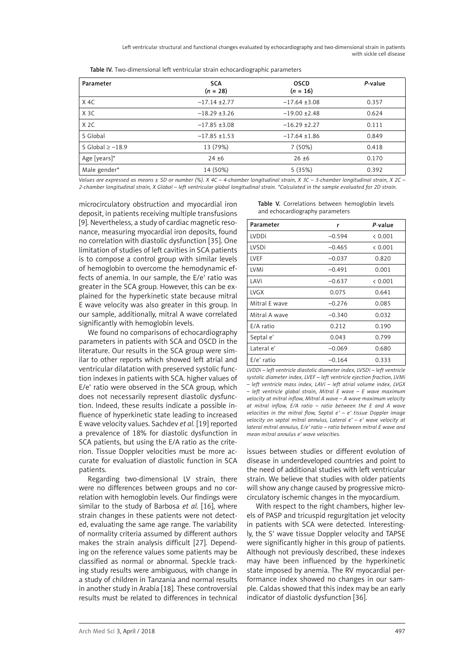Left ventricular structural and functional changes evaluated by echocardiography and two-dimensional strain in patients with sickle cell disease

| Parameter          | <b>SCA</b><br>$(n = 28)$ | <b>OSCD</b><br>$(n = 16)$ | P-value |
|--------------------|--------------------------|---------------------------|---------|
| X 4C               | $-17.14 \pm 2.77$        | $-17.64 \pm 3.08$         | 0.357   |
| $X$ 3C             | $-18.29 + 3.26$          | $-19.00 + 2.48$           | 0.624   |
| X 2C               | $-17.85 + 3.08$          | $-16.29 + 2.27$           | 0.111   |
| S Global           | $-17.85 \pm 1.53$        | $-17.64 \pm 1.86$         | 0.849   |
| S Global $> -18.9$ | 13 (79%)                 | 7(50%)                    | 0.418   |
| Age [years] $*$    | $24 + 6$                 | $26 + 6$                  | 0.170   |
| Male gender*       | 14 (50%)                 | 5(35%)                    | 0.392   |

Table IV. Two-dimensional left ventricular strain echocardiographic parameters

*Values are expressed as means ± SD or number (%). X 4C – 4-chamber longitudinal strain, X 3C – 3-chamber longitudinal strain, X 2C – 2-chamber longitudinal strain, X Global – left ventricular global longitudinal strain. \*Calculated in the sample evaluated for 2D strain.*

microcirculatory obstruction and myocardial iron deposit, in patients receiving multiple transfusions [9]. Nevertheless, a study of cardiac magnetic resonance, measuring myocardial iron deposits, found no correlation with diastolic dysfunction [35]. One limitation of studies of left cavities in SCA patients is to compose a control group with similar levels of hemoglobin to overcome the hemodynamic effects of anemia. In our sample, the E/e' ratio was greater in the SCA group. However, this can be explained for the hyperkinetic state because mitral E wave velocity was also greater in this group. In our sample, additionally, mitral A wave correlated significantly with hemoglobin levels.

We found no comparisons of echocardiography parameters in patients with SCA and OSCD in the literature. Our results in the SCA group were similar to other reports which showed left atrial and ventricular dilatation with preserved systolic function indexes in patients with SCA. higher values of E/e' ratio were observed in the SCA group, which does not necessarily represent diastolic dysfunction. Indeed, these results indicate a possible influence of hyperkinetic state leading to increased E wave velocity values. Sachdev *et al.* [19] reported a prevalence of 18% for diastolic dysfunction in SCA patients, but using the E/A ratio as the criterion. Tissue Doppler velocities must be more accurate for evaluation of diastolic function in SCA patients.

Regarding two-dimensional LV strain, there were no differences between groups and no correlation with hemoglobin levels. Our findings were similar to the study of Barbosa *et al.* [16], where strain changes in these patients were not detected, evaluating the same age range. The variability of normality criteria assumed by different authors makes the strain analysis difficult [27]. Depending on the reference values some patients may be classified as normal or abnormal. Speckle tracking study results were ambiguous, with change in a study of children in Tanzania and normal results in another study in Arabia [18]. These controversial results must be related to differences in technical

|  | Table V. Correlations between hemoglobin levels |  |  |
|--|-------------------------------------------------|--|--|
|  | and echocardiography parameters                 |  |  |

| Parameter     | r        | P-value |
|---------------|----------|---------|
| LVDDi         | $-0.594$ | & 0.001 |
| LVSDi         | $-0.465$ | & 0.001 |
| LVEF          | $-0.037$ | 0.820   |
| IVMi          | $-0.491$ | 0.001   |
| LAVi          | $-0.637$ | & 0.001 |
| LVGX          | 0.075    | 0.641   |
| Mitral E wave | $-0.276$ | 0.085   |
| Mitral A wave | $-0.340$ | 0.032   |
| E/A ratio     | 0.212    | 0.190   |
| Septal e'     | 0.043    | 0.799   |
| l ateral e'   | $-0.069$ | 0.680   |
| E/e' ratio    | $-0.164$ | 0.333   |

*LVDDi – left ventricle diastolic diameter index, LVSDi – left ventricle systolic diameter index, LVEF – left ventricle ejection fraction, LVMi – left ventricle mass index, LAVi – left atrial volume index, LVGX – left ventricle global strain, Mitral E wave – E wave maximum velocity at mitral inflow, Mitral A wave – A wave maximum velocity at mitral inflow, E/A ratio – ratio between the E and A wave velocities in the mitral flow, Septal e' – e' tissue Doppler image velocity on septal mitral annulus, Lateral e' – e' wave velocity at lateral mitral annulus, E/e' ratio – ratio between mitral E wave and mean mitral annulus e' wave velocities.*

issues between studies or different evolution of disease in underdeveloped countries and point to the need of additional studies with left ventricular strain. We believe that studies with older patients will show any change caused by progressive microcirculatory ischemic changes in the myocardium.

With respect to the right chambers, higher levels of PASP and tricuspid regurgitation jet velocity in patients with SCA were detected. Interestingly, the S' wave tissue Doppler velocity and TAPSE were significantly higher in this group of patients. Although not previously described, these indexes may have been influenced by the hyperkinetic state imposed by anemia. The RV myocardial performance index showed no changes in our sample. Caldas showed that this index may be an early indicator of diastolic dysfunction [36].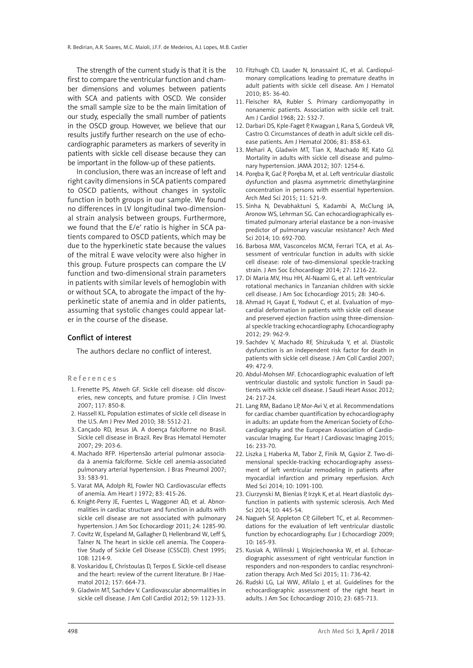The strength of the current study is that it is the first to compare the ventricular function and chamber dimensions and volumes between patients with SCA and patients with OSCD. We consider the small sample size to be the main limitation of our study, especially the small number of patients in the OSCD group. However, we believe that our results justify further research on the use of echocardiographic parameters as markers of severity in patients with sickle cell disease because they can be important in the follow-up of these patients.

In conclusion, there was an increase of left and right cavity dimensions in SCA patients compared to OSCD patients, without changes in systolic function in both groups in our sample. We found no differences in LV longitudinal two-dimensional strain analysis between groups. Furthermore, we found that the E/e' ratio is higher in SCA patients compared to OSCD patients, which may be due to the hyperkinetic state because the values of the mitral E wave velocity were also higher in this group. Future prospects can compare the LV function and two-dimensional strain parameters in patients with similar levels of hemoglobin with or without SCA, to abrogate the impact of the hyperkinetic state of anemia and in older patients, assuming that systolic changes could appear later in the course of the disease.

### Conflict of interest

The authors declare no conflict of interest.

References

- 1. Frenette PS, Atweh GF. Sickle cell disease: old discoveries, new concepts, and future promise. J Clin Invest 2007; 117: 850-8.
- 2. Hassell KL. Population estimates of sickle cell disease in the U.S. Am J Prev Med 2010; 38: S512-21.
- 3. Cançado RD, Jesus JA. A doença falciforme no Brasil. Sickle cell disease in Brazil. Rev Bras Hematol Hemoter 2007; 29: 203-6.
- 4. Machado RFP. Hipertensão arterial pulmonar associada à anemia falciforme. Sickle cell anemia-associated pulmonary arterial hypertension. J Bras Pneumol 2007; 33: 583-91.
- 5. Varat MA, Adolph RJ, Fowler NO. Cardiovascular effects of anemia. Am Heart J 1972; 83: 415-26.
- 6. Knight-Perry JE, Fuentes L, Waggoner AD, et al. Abnormalities in cardiac structure and function in adults with sickle cell disease are not associated with pulmonary hypertension. J Am Soc Echocardiogr 2011; 24: 1285-90.
- 7. Covitz W, Espeland M, Gallagher D, Hellenbrand W, Leff S, Talner N. The heart in sickle cell anemia. The Cooperative Study of Sickle Cell Disease (CSSCD). Chest 1995; 108: 1214-9.
- 8. Voskaridou E, Christoulas D, Terpos E. Sickle-cell disease and the heart: review of the current literature. Br J Haematol 2012; 157: 664-73.
- 9. Gladwin MT, Sachdev V. Cardiovascular abnormalities in sickle cell disease. J Am Coll Cardiol 2012; 59: 1123-33.
- 10. Fitzhugh CD, Lauder N, Jonassaint JC, et al. Cardiopulmonary complications leading to premature deaths in adult patients with sickle cell disease. Am J Hematol 2010; 85: 36-40.
- 11. Fleischer RA, Rubler S. Primary cardiomyopathy in nonanemic patients. Association with sickle cell trait. Am J Cardiol 1968; 22: 532-7.
- 12. Darbari DS, Kple-Faget P, Kwagyan J, Rana S, Gordeuk VR, Castro O. Circumstances of death in adult sickle cell disease patients. Am J Hematol 2006; 81: 858-63.
- 13. Mehari A, Gladwin MT, Tian X, Machado RF, Kato GJ. Mortality in adults with sickle cell disease and pulmonary hypertension. JAMA 2012; 307: 1254-6.
- 14. Poręba R, Gać P, Poręba M, et al. Left ventricular diastolic dysfunction and plasma asymmetric dimethylarginine concentration in persons with essential hypertension. Arch Med Sci 2015; 11: 521-9.
- 15. Sinha N, Devabhaktuni S, Kadambi A, McClung JA, Aronow WS, Lehrman SG. Can echocardiographically estimated pulmonary arterial elastance be a non-invasive predictor of pulmonary vascular resistance? Arch Med Sci 2014; 10: 692-700.
- 16. Barbosa MM, Vasconcelos MCM, Ferrari TCA, et al. Assessment of ventricular function in adults with sickle cell disease: role of two-dimensional speckle-tracking strain. J Am Soc Echocardiogr 2014; 27: 1216-22.
- 17. Di Maria MV, Hsu HH, Al-Naami G, et al. Left ventricular rotational mechanics in Tanzanian children with sickle cell disease. J Am Soc Echocardiogr 2015; 28: 340-6.
- 18. Ahmad H, Gayat E, Yodwut C, et al. Evaluation of myocardial deformation in patients with sickle cell disease and preserved ejection fraction using three-dimensional speckle tracking echocardiography. Echocardiography 2012; 29: 962-9.
- 19. Sachdev V, Machado RF, Shizukuda Y, et al. Diastolic dysfunction is an independent risk factor for death in patients with sickle cell disease. J Am Coll Cardiol 2007; 49: 472-9.
- 20. Abdul-Mohsen MF. Echocardiographic evaluation of left ventricular diastolic and systolic function in Saudi patients with sickle cell disease. J Saudi Heart Assoc 2012; 24: 217-24.
- 21. Lang RM, Badano LP, Mor-Avi V, et al. Recommendations for cardiac chamber quantification by echocardiography in adults: an update from the American Society of Echocardiography and the European Association of Cardiovascular Imaging. Eur Heart J Cardiovasc Imaging 2015; 16: 233-70.
- 22. Liszka J, Haberka M, Tabor Z, Finik M, Gąsior Z. Two-dimensional speckle-tracking echocardiography assessment of left ventricular remodeling in patients after myocardial infarction and primary reperfusion. Arch Med Sci 2014; 10: 1091-100.
- 23. Ciurzynski M, Bienias P, Irzyk K, et al. Heart diastolic dysfunction in patients with systemic sclerosis. Arch Med Sci 2014; 10: 445-54.
- 24. Nagueh SF, Appleton CP, Gillebert TC, et al. Recommendations for the evaluation of left ventricular diastolic function by echocardiography. Eur J Echocardiogr 2009; 10: 165-93.
- 25. Kusiak A, Wilinski J, Wojciechowska W, et al. Echocardiographic assessment of right ventricular function in responders and non-responders to cardiac resynchronization therapy. Arch Med Sci 2015; 11: 736-42.
- 26. Rudski LG, Lai WW, Afilalo J, et al. Guidelines for the echocardiographic assessment of the right heart in adults. J Am Soc Echocardiogr 2010; 23: 685-713.